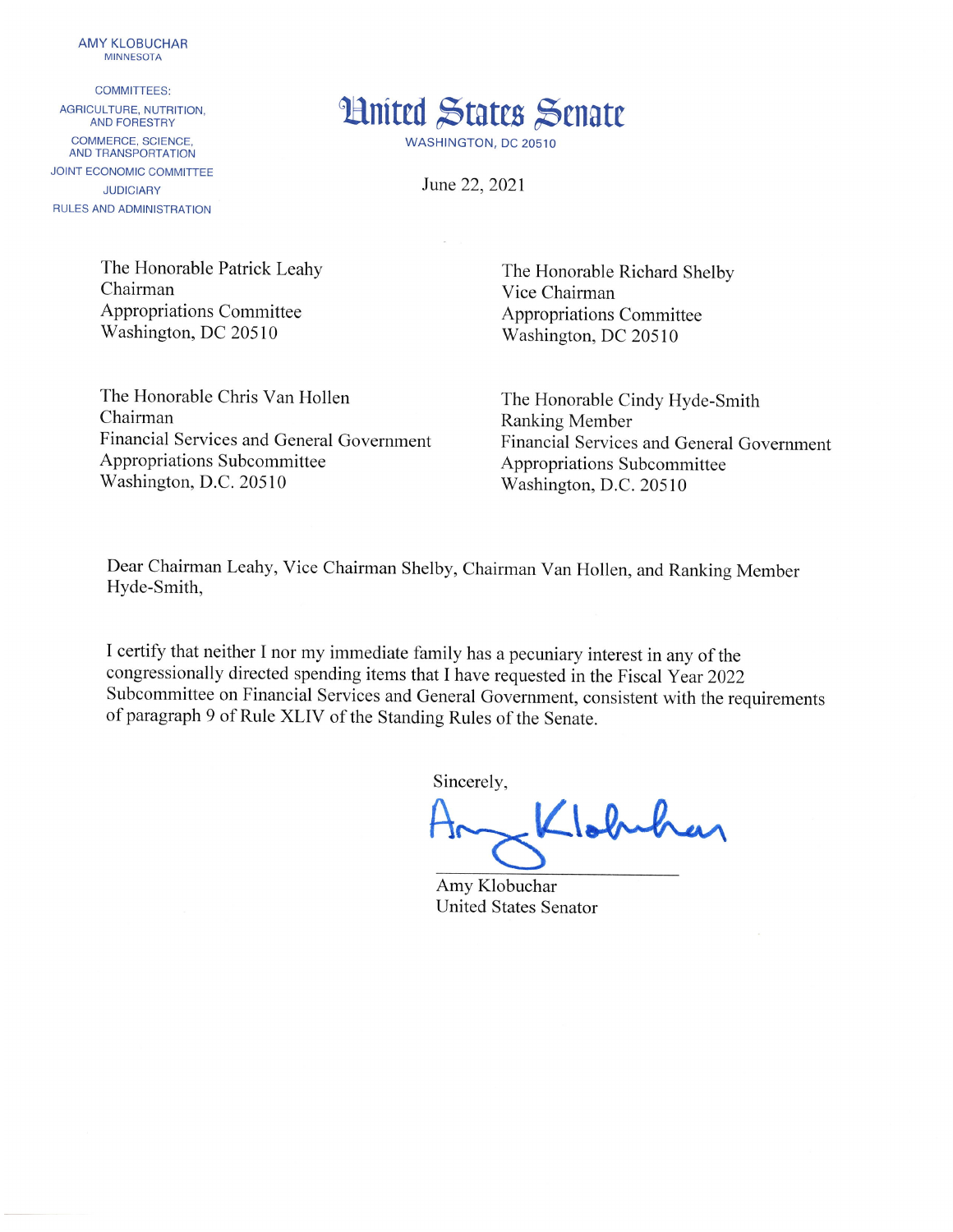

**COMMITTEES:** AGRICULTURE, NUTRITION, **AND FORESTRY** COMMERCE, SCIENCE. AND TRANSPORTATION JOINT ECONOMIC COMMITTEE **JUDICIARY** RULES AND ADMINISTRATION



WASHINGTON, DC 20510

June 22, 2021

The Honorable Patrick Leahy Chairman **Appropriations Committee** Washington, DC 20510

The Honorable Richard Shelby Vice Chairman Appropriations Committee Washington, DC 20510

The Honorable Chris Van Hollen Chairman Financial Services and General Government Appropriations Subcommittee Washington, D.C. 20510

The Honorable Cindy Hyde-Smith **Ranking Member** Financial Services and General Government Appropriations Subcommittee Washington, D.C. 20510

Dear Chairman Leahy, Vice Chairman Shelby, Chairman Van Hollen, and Ranking Member Hyde-Smith,

I certify that neither I nor my immediate family has a pecuniary interest in any of the congressionally directed spending items that I have requested in the Fiscal Year 2022 Subcommittee on Financial Services and General Government, consistent with the requirements of paragraph 9 of Rule XLIV of the Standing Rules of the Senate.

Sincerely,

Llobuhar

Amy Klobuchar **United States Senator**